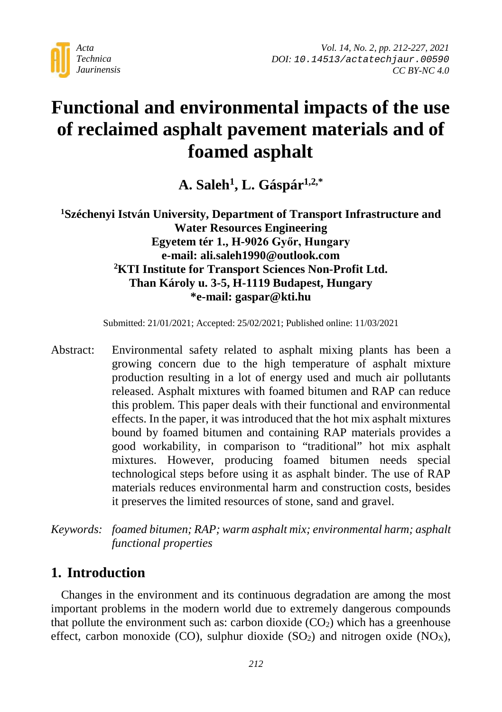

# **Functional and environmental impacts of the use of reclaimed asphalt pavement materials and of foamed asphalt**

**A. Saleh1, L. Gáspár1,2,\***

**1 Széchenyi István University, Department of Transport Infrastructure and Water Resources Engineering Egyetem tér 1., H-9026 Győr, Hungary e-mail: ali.saleh1990@outlook.com 2 KTI Institute for Transport Sciences Non-Profit Ltd. Than Károly u. 3-5, H-1119 Budapest, Hungary \*e-mail: gaspar@kti.hu**

Submitted: 21/01/2021; Accepted: 25/02/2021; Published online: 11/03/2021

Abstract: Environmental safety related to asphalt mixing plants has been a growing concern due to the high temperature of asphalt mixture production resulting in a lot of energy used and much air pollutants released. Asphalt mixtures with foamed bitumen and RAP can reduce this problem. This paper deals with their functional and environmental effects. In the paper, it was introduced that the hot mix asphalt mixtures bound by foamed bitumen and containing RAP materials provides a good workability, in comparison to "traditional" hot mix asphalt mixtures. However, producing foamed bitumen needs special technological steps before using it as asphalt binder. The use of RAP materials reduces environmental harm and construction costs, besides it preserves the limited resources of stone, sand and gravel.

*Keywords: foamed bitumen; RAP; warm asphalt mix; environmental harm; asphalt functional properties*

# **1. Introduction**

Changes in the environment and its continuous degradation are among the most important problems in the modern world due to extremely dangerous compounds that pollute the environment such as: carbon dioxide  $(CO<sub>2</sub>)$  which has a greenhouse effect, carbon monoxide (CO), sulphur dioxide  $(SO<sub>2</sub>)$  and nitrogen oxide  $(NO<sub>X</sub>)$ ,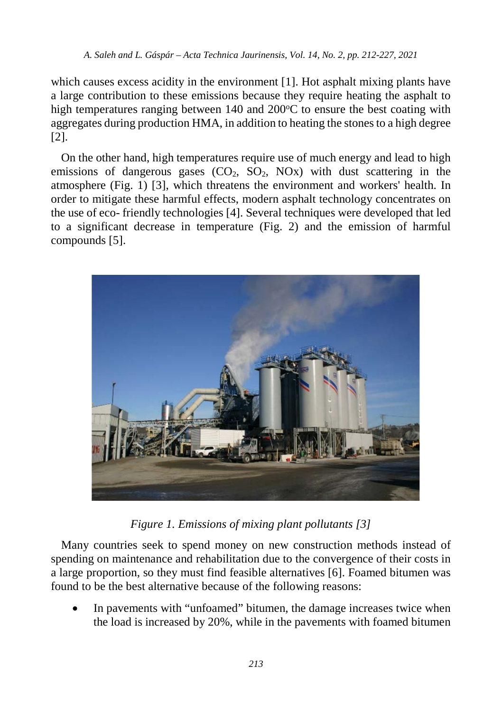which causes excess acidity in the environment [1]. Hot asphalt mixing plants have a large contribution to these emissions because they require heating the asphalt to high temperatures ranging between 140 and 200°C to ensure the best coating with aggregates during production HMA, in addition to heating the stones to a high degree [2].

On the other hand, high temperatures require use of much energy and lead to high emissions of dangerous gases  $(CO_2, SO_2, NOx)$  with dust scattering in the atmosphere (Fig. 1) [3], which threatens the environment and workers' health. In order to mitigate these harmful effects, modern asphalt technology concentrates on the use of eco- friendly technologies [4]. Several techniques were developed that led to a significant decrease in temperature (Fig. 2) and the emission of harmful compounds [5].



*Figure 1. Emissions of mixing plant pollutants [3]*

Many countries seek to spend money on new construction methods instead of spending on maintenance and rehabilitation due to the convergence of their costs in a large proportion, so they must find feasible alternatives [6]. Foamed bitumen was found to be the best alternative because of the following reasons:

In pavements with "unfoamed" bitumen, the damage increases twice when the load is increased by 20%, while in the pavements with foamed bitumen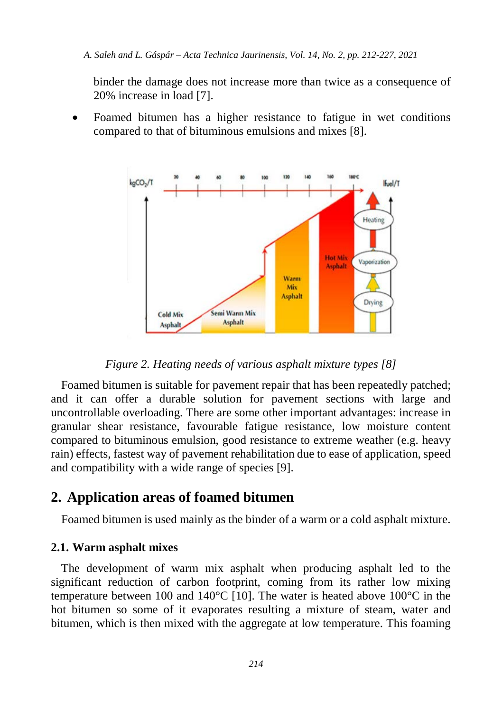binder the damage does not increase more than twice as a consequence of 20% increase in load [7].

• Foamed bitumen has a higher resistance to fatigue in wet conditions compared to that of bituminous emulsions and mixes [8].



*Figure 2. Heating needs of various asphalt mixture types [8]*

Foamed bitumen is suitable for pavement repair that has been repeatedly patched; and it can offer a durable solution for pavement sections with large and uncontrollable overloading. There are some other important advantages: increase in granular shear resistance, favourable fatigue resistance, low moisture content compared to bituminous emulsion, good resistance to extreme weather (e.g. heavy rain) effects, fastest way of pavement rehabilitation due to ease of application, speed and compatibility with a wide range of species [9].

# **2. Application areas of foamed bitumen**

Foamed bitumen is used mainly as the binder of a warm or a cold asphalt mixture.

### **2.1. Warm asphalt mixes**

The development of warm mix asphalt when producing asphalt led to the significant reduction of carbon footprint, coming from its rather low mixing temperature between 100 and 140 $^{\circ}$ C [10]. The water is heated above 100 $^{\circ}$ C in the hot bitumen so some of it evaporates resulting a mixture of steam, water and bitumen, which is then mixed with the aggregate at low temperature. This foaming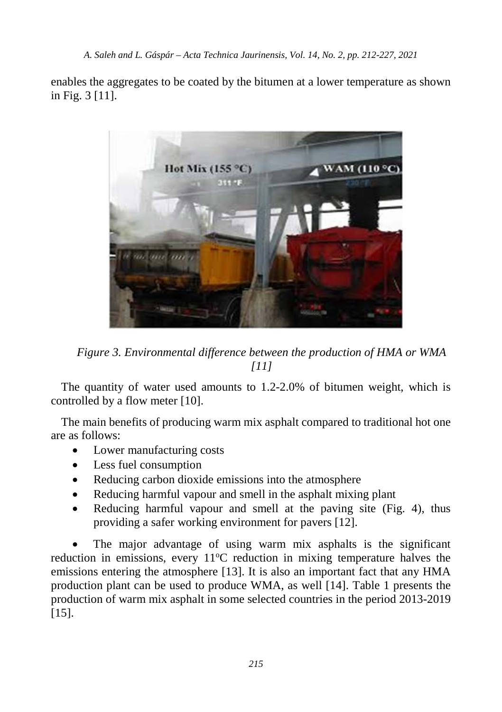enables the aggregates to be coated by the bitumen at a lower temperature as shown in Fig. 3 [11].



*Figure 3. Environmental difference between the production of HMA or WMA [11]*

The quantity of water used amounts to 1.2-2.0% of bitumen weight, which is controlled by a flow meter [10].

The main benefits of producing warm mix asphalt compared to traditional hot one are as follows:

- Lower manufacturing costs
- Less fuel consumption
- Reducing carbon dioxide emissions into the atmosphere
- Reducing harmful vapour and smell in the asphalt mixing plant
- Reducing harmful vapour and smell at the paving site (Fig. 4), thus providing a safer working environment for pavers [12].

The major advantage of using warm mix asphalts is the significant reduction in emissions, every 11°C reduction in mixing temperature halves the emissions entering the atmosphere [13]. It is also an important fact that any HMA production plant can be used to produce WMA, as well [14]. Table 1 presents the production of warm mix asphalt in some selected countries in the period 2013-2019 [15].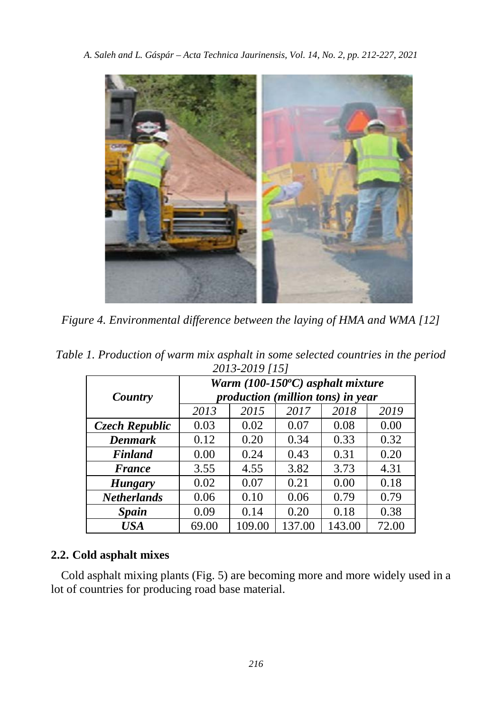

*Figure 4. Environmental difference between the laying of HMA and WMA [12]*

| Table 1. Production of warm mix asphalt in some selected countries in the period |  |                |  |  |  |
|----------------------------------------------------------------------------------|--|----------------|--|--|--|
|                                                                                  |  | 2013-2019 [15] |  |  |  |

| 2010 2017 1101     |                                                                       |        |        |        |       |  |  |
|--------------------|-----------------------------------------------------------------------|--------|--------|--------|-------|--|--|
| Country            | Warm (100-150°C) asphalt mixture<br>production (million tons) in year |        |        |        |       |  |  |
|                    |                                                                       |        |        |        |       |  |  |
|                    | 2013                                                                  | 2015   | 2017   | 2018   | 2019  |  |  |
| Czech Republic     | 0.03                                                                  | 0.02   | 0.07   | 0.08   | 0.00  |  |  |
| <b>Denmark</b>     | 0.12                                                                  | 0.20   | 0.34   | 0.33   | 0.32  |  |  |
| <b>Finland</b>     | 0.00                                                                  | 0.24   | 0.43   | 0.31   | 0.20  |  |  |
| <b>France</b>      | 3.55                                                                  | 4.55   | 3.82   | 3.73   | 4.31  |  |  |
| <b>Hungary</b>     | 0.02                                                                  | 0.07   | 0.21   | 0.00   | 0.18  |  |  |
| <b>Netherlands</b> | 0.06                                                                  | 0.10   | 0.06   | 0.79   | 0.79  |  |  |
| <b>Spain</b>       | 0.09                                                                  | 0.14   | 0.20   | 0.18   | 0.38  |  |  |
| USA                | 69.00                                                                 | 109.00 | 137.00 | 143.00 | 72.00 |  |  |

# **2.2. Cold asphalt mixes**

Cold asphalt mixing plants (Fig. 5) are becoming more and more widely used in a lot of countries for producing road base material.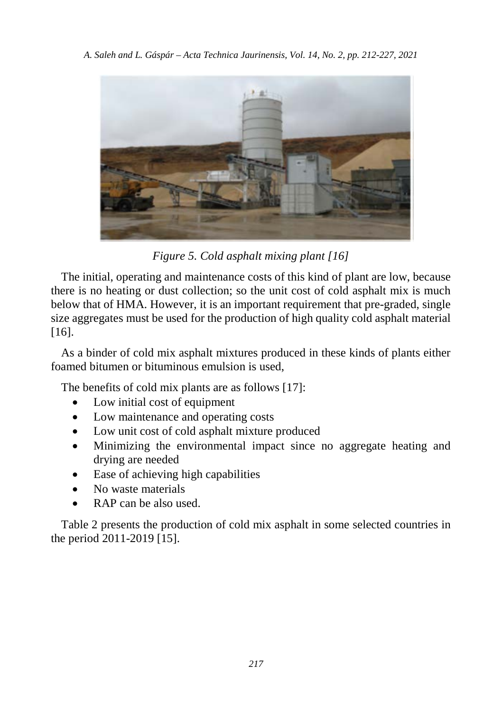

*Figure 5. Cold asphalt mixing plant [16]*

The initial, operating and maintenance costs of this kind of plant are low, because there is no heating or dust collection; so the unit cost of cold asphalt mix is much below that of HMA. However, it is an important requirement that pre-graded, single size aggregates must be used for the production of high quality cold asphalt material [16].

As a binder of cold mix asphalt mixtures produced in these kinds of plants either foamed bitumen or bituminous emulsion is used,

The benefits of cold mix plants are as follows [17]:

- Low initial cost of equipment
- Low maintenance and operating costs
- Low unit cost of cold asphalt mixture produced
- Minimizing the environmental impact since no aggregate heating and drying are needed
- Ease of achieving high capabilities
- No waste materials
- RAP can be also used.

Table 2 presents the production of cold mix asphalt in some selected countries in the period 2011-2019 [15].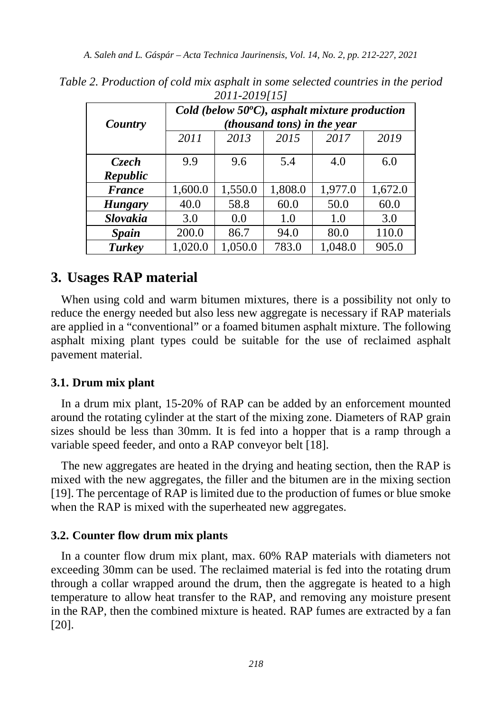| $2011 - 20191191$ |                                                                                        |         |         |         |         |  |
|-------------------|----------------------------------------------------------------------------------------|---------|---------|---------|---------|--|
|                   | Cold (below $50^{\circ}$ C), asphalt mixture production<br>(thousand tons) in the year |         |         |         |         |  |
| Country           |                                                                                        |         |         |         |         |  |
|                   | 2011                                                                                   | 2013    | 2015    | 2017    | 2019    |  |
|                   |                                                                                        |         |         |         |         |  |
| <i>Czech</i>      | 9.9                                                                                    | 9.6     | 5.4     | 4.0     | 6.0     |  |
| Republic          |                                                                                        |         |         |         |         |  |
| <b>France</b>     | 1,600.0                                                                                | 1,550.0 | 1,808.0 | 1,977.0 | 1,672.0 |  |
| <b>Hungary</b>    | 40.0                                                                                   | 58.8    | 60.0    | 50.0    | 60.0    |  |
| Slovakia          | 3.0                                                                                    | 0.0     | 1.0     | 1.0     | 3.0     |  |
| <b>Spain</b>      | 200.0                                                                                  | 86.7    | 94.0    | 80.0    | 110.0   |  |
| Turkey            | 1.020.0                                                                                | 1,050.0 | 783.0   | 1.048.0 | 905.0   |  |

*Table 2. Production of cold mix asphalt in some selected countries in the period 2011-2019[15]*

# **3. Usages RAP material**

When using cold and warm bitumen mixtures, there is a possibility not only to reduce the energy needed but also less new aggregate is necessary if RAP materials are applied in a "conventional" or a foamed bitumen asphalt mixture. The following asphalt mixing plant types could be suitable for the use of reclaimed asphalt pavement material.

#### **3.1. Drum mix plant**

In a drum mix plant, 15-20% of RAP can be added by an enforcement mounted around the rotating cylinder at the start of the mixing zone. Diameters of RAP grain sizes should be less than 30mm. It is fed into a hopper that is a ramp through a variable speed feeder, and onto a RAP conveyor belt [18].

The new aggregates are heated in the drying and heating section, then the RAP is mixed with the new aggregates, the filler and the bitumen are in the mixing section [19]. The percentage of RAP is limited due to the production of fumes or blue smoke when the RAP is mixed with the superheated new aggregates.

#### **3.2. Counter flow drum mix plants**

In a counter flow drum mix plant, max. 60% RAP materials with diameters not exceeding 30mm can be used. The reclaimed material is fed into the rotating drum through a collar wrapped around the drum, then the aggregate is heated to a high temperature to allow heat transfer to the RAP, and removing any moisture present in the RAP, then the combined mixture is heated. RAP fumes are extracted by a fan [20].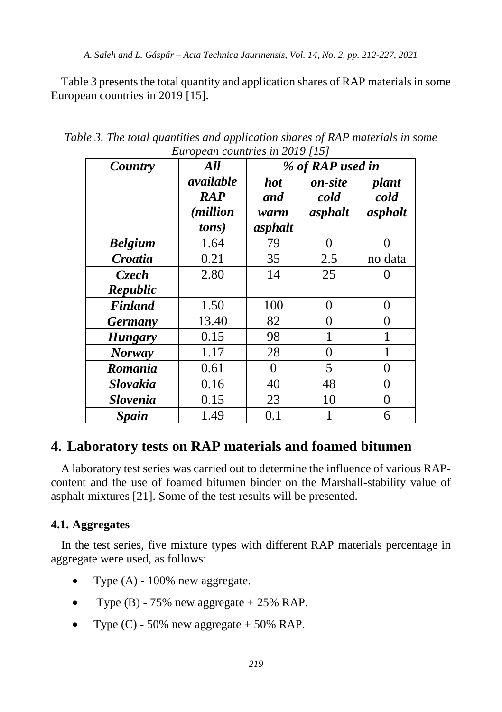Table 3 presents the total quantity and application shares of RAP materials in some European countries in 2019 [15].

| Country         | All               | $E$ <i>uropeun countries in 2017</i> [10]<br>% of RAP used in |         |              |
|-----------------|-------------------|---------------------------------------------------------------|---------|--------------|
|                 | available         | <i>hot</i>                                                    | on-site | plant        |
|                 | <b>RAP</b>        | and                                                           | cold    | cold         |
|                 | <i>(million</i> ) | warm                                                          | asphalt | asphalt      |
|                 | tons)             | asphalt                                                       |         |              |
| <b>Belgium</b>  | 1.64              | 79                                                            | 0       | 0            |
| Croatia         | 0.21              | 35                                                            | 2.5     | no data      |
| Czech           | 2.80              | 14                                                            | 25      | 0            |
| Republic        |                   |                                                               |         |              |
| <b>Finland</b>  | 1.50              | 100                                                           | 0       | 0            |
| <b>Germany</b>  | 13.40             | 82                                                            | 0       | 0            |
| <b>Hungary</b>  | 0.15              | 98                                                            |         | 1            |
| <b>Norway</b>   | 1.17              | 28                                                            | 0       | $\mathbf{1}$ |
| Romania         | 0.61              | 0                                                             | 5       | 0            |
| <b>Slovakia</b> | 0.16              | 40                                                            | 48      | 0            |
| <b>Slovenia</b> | 0.15              | 23                                                            | 10      | 0            |
| <b>Spain</b>    | 1.49              | 0.1                                                           |         | 6            |

*Table 3. The total quantities and application shares of RAP materials in some European countries in 2019 [15]*

# **4. Laboratory tests on RAP materials and foamed bitumen**

A laboratory test series was carried out to determine the influence of various RAPcontent and the use of foamed bitumen binder on the Marshall-stability value of asphalt mixtures [21]. Some of the test results will be presented.

# **4.1. Aggregates**

In the test series, five mixture types with different RAP materials percentage in aggregate were used, as follows:

- Type  $(A)$  100% new aggregate.
- Type  $(B)$  75% new aggregate  $+ 25\%$  RAP.
- Type  $(C)$  50% new aggregate + 50% RAP.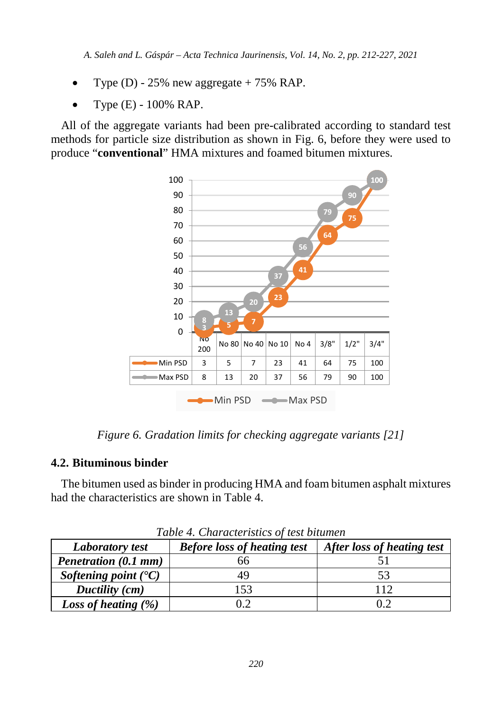- Type (D) 25% new aggregate  $+ 75\%$  RAP.
- Type (E) 100% RAP.

All of the aggregate variants had been pre-calibrated according to standard test methods for particle size distribution as shown in Fig. 6, before they were used to produce "**conventional**" HMA mixtures and foamed bitumen mixtures.



*Figure 6. Gradation limits for checking aggregate variants [21]*

### **4.2. Bituminous binder**

The bitumen used as binder in producing HMA and foam bitumen asphalt mixtures had the characteristics are shown in Table 4.

| Twore <i>is</i> characteristics of lest stration |                                    |                            |  |  |  |
|--------------------------------------------------|------------------------------------|----------------------------|--|--|--|
| <b>Laboratory test</b>                           | <b>Before loss of heating test</b> | After loss of heating test |  |  |  |
| Penetration (0.1 mm)                             | .n                                 |                            |  |  |  |
| Softening point $(C)$                            | 49                                 |                            |  |  |  |
| Ductility (cm)                                   | 153                                | 112                        |  |  |  |
| Loss of heating $(\%)$                           |                                    | .) C                       |  |  |  |

*Table 4. Characteristics of test bitumen*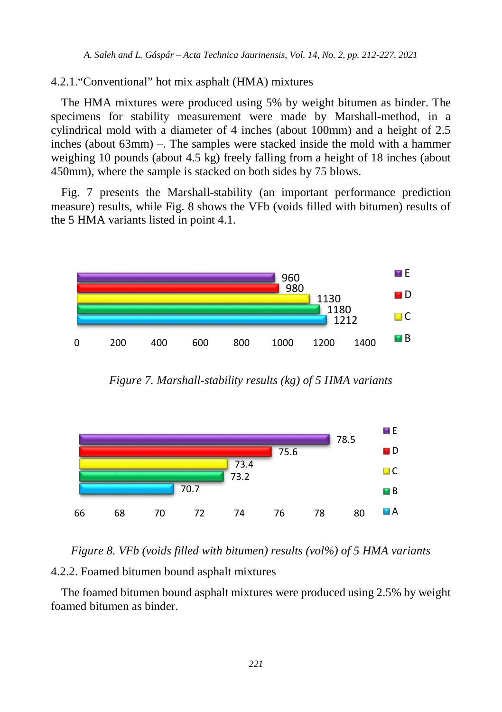### 4.2.1."Conventional" hot mix asphalt (HMA) mixtures

The HMA mixtures were produced using 5% by weight bitumen as binder. The specimens for stability measurement were made by Marshall-method, in a cylindrical mold with a diameter of 4 inches (about 100mm) and a height of 2.5 inches (about 63mm) –. The samples were stacked inside the mold with a hammer weighing 10 pounds (about 4.5 kg) freely falling from a height of 18 inches (about 450mm), where the sample is stacked on both sides by 75 blows.

Fig. 7 presents the Marshall-stability (an important performance prediction measure) results, while Fig. 8 shows the VFb (voids filled with bitumen) results of the 5 HMA variants listed in point 4.1.



*Figure 7. Marshall-stability results (kg) of 5 HMA variants*



*Figure 8. VFb (voids filled with bitumen) results (vol%) of 5 HMA variants* 4.2.2. Foamed bitumen bound asphalt mixtures

The foamed bitumen bound asphalt mixtures were produced using 2.5% by weight foamed bitumen as binder.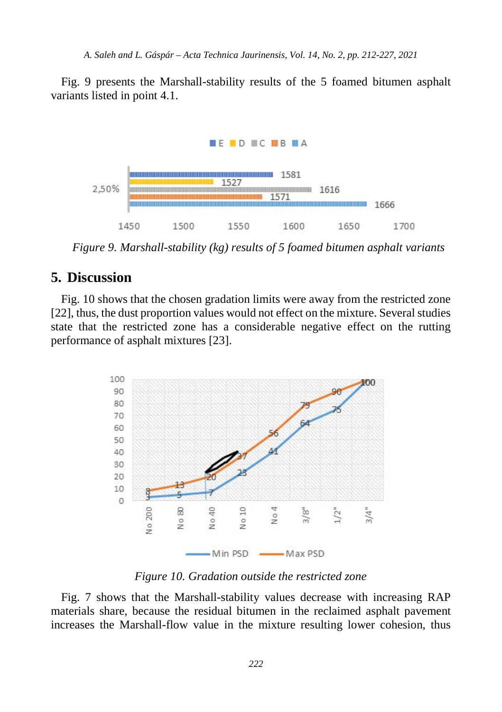Fig. 9 presents the Marshall-stability results of the 5 foamed bitumen asphalt variants listed in point 4.1.



*Figure 9. Marshall-stability (kg) results of 5 foamed bitumen asphalt variants*

# **5. Discussion**

Fig. 10 shows that the chosen gradation limits were away from the restricted zone [22], thus, the dust proportion values would not effect on the mixture. Several studies state that the restricted zone has a considerable negative effect on the rutting performance of asphalt mixtures [23].



*Figure 10. Gradation outside the restricted zone*

Fig. 7 shows that the Marshall-stability values decrease with increasing RAP materials share, because the residual bitumen in the reclaimed asphalt pavement increases the Marshall-flow value in the mixture resulting lower cohesion, thus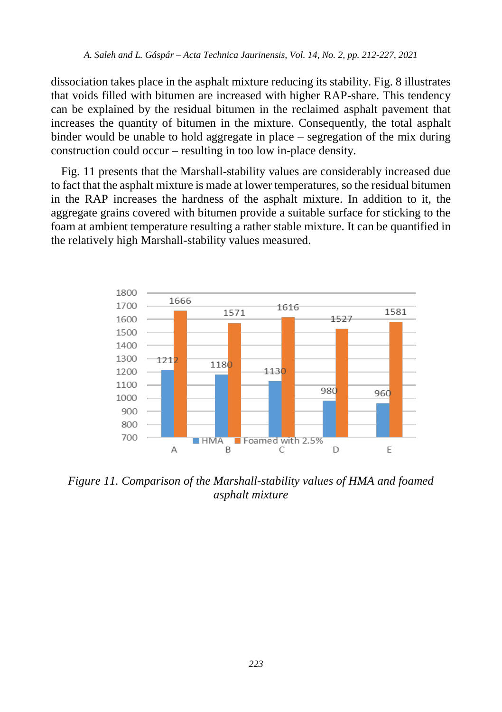dissociation takes place in the asphalt mixture reducing its stability. Fig. 8 illustrates that voids filled with bitumen are increased with higher RAP-share. This tendency can be explained by the residual bitumen in the reclaimed asphalt pavement that increases the quantity of bitumen in the mixture. Consequently, the total asphalt binder would be unable to hold aggregate in place – segregation of the mix during construction could occur – resulting in too low in-place density.

Fig. 11 presents that the Marshall-stability values are considerably increased due to fact that the asphalt mixture is made at lower temperatures, so the residual bitumen in the RAP increases the hardness of the asphalt mixture. In addition to it, the aggregate grains covered with bitumen provide a suitable surface for sticking to the foam at ambient temperature resulting a rather stable mixture. It can be quantified in the relatively high Marshall-stability values measured.



*Figure 11. Comparison of the Marshall-stability values of HMA and foamed asphalt mixture*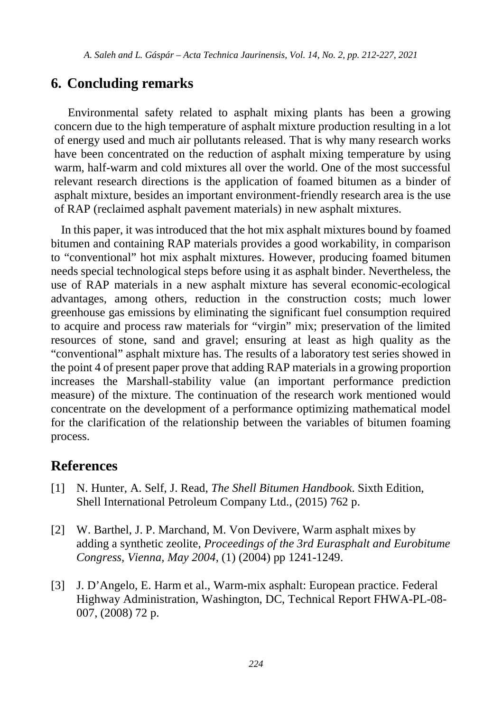# **6. Concluding remarks**

Environmental safety related to asphalt mixing plants has been a growing concern due to the high temperature of asphalt mixture production resulting in a lot of energy used and much air pollutants released. That is why many research works have been concentrated on the reduction of asphalt mixing temperature by using warm, half-warm and cold mixtures all over the world. One of the most successful relevant research directions is the application of foamed bitumen as a binder of asphalt mixture, besides an important environment-friendly research area is the use of RAP (reclaimed asphalt pavement materials) in new asphalt mixtures.

In this paper, it was introduced that the hot mix asphalt mixtures bound by foamed bitumen and containing RAP materials provides a good workability, in comparison to "conventional" hot mix asphalt mixtures. However, producing foamed bitumen needs special technological steps before using it as asphalt binder. Nevertheless, the use of RAP materials in a new asphalt mixture has several economic-ecological advantages, among others, reduction in the construction costs; much lower greenhouse gas emissions by eliminating the significant fuel consumption required to acquire and process raw materials for "virgin" mix; preservation of the limited resources of stone, sand and gravel; ensuring at least as high quality as the "conventional" asphalt mixture has. The results of a laboratory test series showed in the point 4 of present paper prove that adding RAP materials in a growing proportion increases the Marshall-stability value (an important performance prediction measure) of the mixture. The continuation of the research work mentioned would concentrate on the development of a performance optimizing mathematical model for the clarification of the relationship between the variables of bitumen foaming process.

# **References**

- [1] N. Hunter, A. Self, J. Read, *The Shell Bitumen Handbook*. Sixth Edition, Shell International Petroleum Company Ltd., (2015) 762 p.
- [2] W. Barthel, J. P. Marchand, M. Von Devivere, Warm asphalt mixes by adding a synthetic zeolite, *Proceedings of the 3rd Eurasphalt and Eurobitume Congress, Vienna, May 2004*, (1) (2004) pp 1241-1249.
- [3] J. D'Angelo, E. Harm et al., Warm-mix asphalt: European practice. Federal Highway Administration, Washington, DC, Technical Report FHWA-PL-08- 007, (2008) 72 p.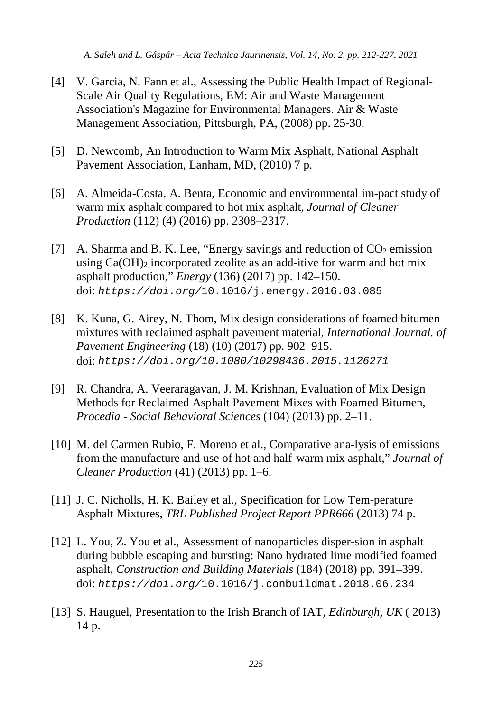- [4] V. Garcia, N. Fann et al., Assessing the Public Health Impact of Regional-Scale Air Quality Regulations, EM: Air and Waste Management Association's Magazine for Environmental Managers. Air & Waste Management Association, Pittsburgh, PA, (2008) pp. 25-30.
- [5] D. Newcomb, An Introduction to Warm Mix Asphalt, National Asphalt Pavement Association, Lanham, MD, (2010) 7 p.
- [6] A. Almeida-Costa, A. Benta, Economic and environmental im-pact study of warm mix asphalt compared to hot mix asphalt, *Journal of Cleaner Production* (112) (4) (2016) pp. 2308–2317.
- [7] A. Sharma and B. K. Lee, "Energy savings and reduction of  $CO<sub>2</sub>$  emission using  $Ca(OH)$ <sub>2</sub> incorporated zeolite as an add-itive for warm and hot mix asphalt production," *Energy* (136) (2017) pp. 142–150. doi: *https://doi.org/*10.1016/j.energy.2016.03.085
- [8] K. Kuna, G. Airey, N. Thom, Mix design considerations of foamed bitumen mixtures with reclaimed asphalt pavement material, *International Journal. of Pavement Engineering* (18) (10) (2017) pp. 902–915. doi: *https://doi.org/10.1080/10298436.2015.1126271*
- [9] R. Chandra, A. Veeraragavan, J. M. Krishnan, Evaluation of Mix Design Methods for Reclaimed Asphalt Pavement Mixes with Foamed Bitumen, *Procedia - Social Behavioral Sciences* (104) (2013) pp. 2–11.
- [10] M. del Carmen Rubio, F. Moreno et al., Comparative ana-lysis of emissions from the manufacture and use of hot and half-warm mix asphalt," *Journal of Cleaner Production* (41) (2013) pp. 1–6.
- [11] J. C. Nicholls, H. K. Bailey et al., Specification for Low Tem-perature Asphalt Mixtures, *TRL Published Project Report PPR666* (2013) 74 p.
- [12] L. You, Z. You et al., Assessment of nanoparticles disper-sion in asphalt during bubble escaping and bursting: Nano hydrated lime modified foamed asphalt, *Construction and Building Materials* (184) (2018) pp. 391–399. doi: *https://doi.org/*10.1016/j.conbuildmat.2018.06.234
- [13] S. Hauguel, Presentation to the Irish Branch of IAT, *Edinburgh, UK* ( 2013) 14 p.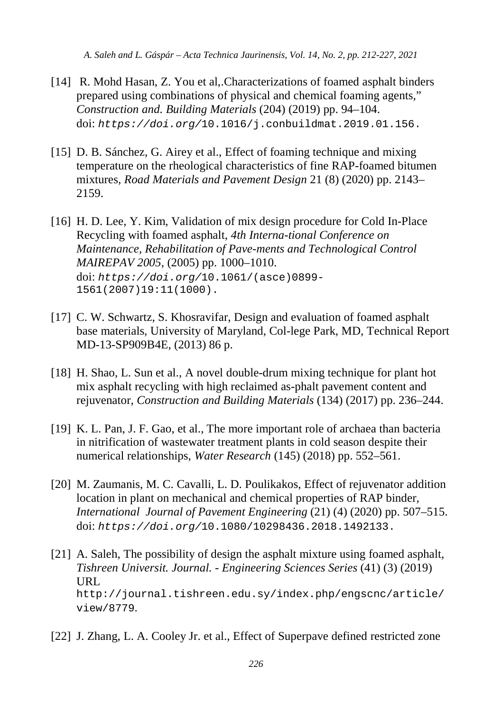- [14] R. Mohd Hasan, Z. You et al,.Characterizations of foamed asphalt binders prepared using combinations of physical and chemical foaming agents," *Construction and. Building Materials* (204) (2019) pp. 94–104. doi: *https://doi.org/*10.1016/j.conbuildmat.2019.01.156.
- [15] D. B. Sánchez, G. Airey et al., Effect of foaming technique and mixing temperature on the rheological characteristics of fine RAP-foamed bitumen mixtures, *Road Materials and Pavement Design* 21 (8) (2020) pp. 2143– 2159.
- [16] H. D. Lee, Y. Kim, Validation of mix design procedure for Cold In-Place Recycling with foamed asphalt, *4th Interna-tional Conference on Maintenance, Rehabilitation of Pave-ments and Technological Control MAIREPAV 2005*, (2005) pp. 1000–1010. doi: *https://doi.org/*10.1061/(asce)0899- 1561(2007)19:11(1000).
- [17] C. W. Schwartz, S. Khosravifar, Design and evaluation of foamed asphalt base materials, University of Maryland, Col-lege Park, MD, Technical Report MD-13-SP909B4E, (2013) 86 p.
- [18] H. Shao, L. Sun et al., A novel double-drum mixing technique for plant hot mix asphalt recycling with high reclaimed as-phalt pavement content and rejuvenator, *Construction and Building Materials* (134) (2017) pp. 236–244.
- [19] K. L. Pan, J. F. Gao, et al., The more important role of archaea than bacteria in nitrification of wastewater treatment plants in cold season despite their numerical relationships, *Water Research* (145) (2018) pp. 552–561.
- [20] M. Zaumanis, M. C. Cavalli, L. D. Poulikakos, Effect of rejuvenator addition location in plant on mechanical and chemical properties of RAP binder, *International Journal of Pavement Engineering* (21) (4) (2020) pp. 507–515. doi: *https://doi.org/*10.1080/10298436.2018.1492133.
- [21] A. Saleh, The possibility of design the asphalt mixture using foamed asphalt, *Tishreen Universit. Journal. - Engineering Sciences Series* (41) (3) (2019) URL http://journal.tishreen.edu.sy/index.php/engscnc/article/ view/8779.
- [22] J. Zhang, L. A. Cooley Jr. et al., Effect of Superpave defined restricted zone